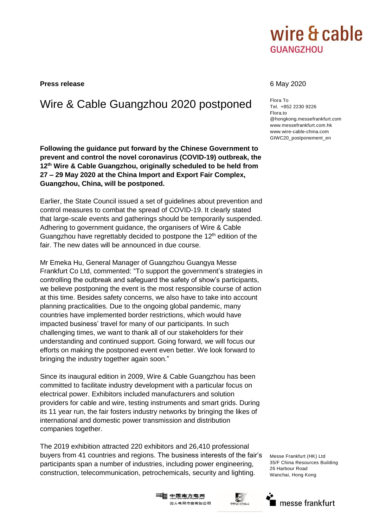

**Press release** 6 May 2020

## Wire & Cable Guangzhou 2020 postponed Flora To

**Following the guidance put forward by the Chinese Government to prevent and control the novel coronavirus (COVID-19) outbreak, the 12th Wire & Cable Guangzhou, originally scheduled to be held from 27 – 29 May 2020 at the China Import and Export Fair Complex, Guangzhou, China, will be postponed.** 

Earlier, the State Council issued a set of guidelines about prevention and control measures to combat the spread of COVID-19. It clearly stated that large-scale events and gatherings should be temporarily suspended. Adhering to government guidance, the organisers of Wire & Cable Guangzhou have regrettably decided to postpone the  $12<sup>th</sup>$  edition of the fair. The new dates will be announced in due course.

Mr Emeka Hu, General Manager of Guangzhou Guangya Messe Frankfurt Co Ltd, commented: "To support the government's strategies in controlling the outbreak and safeguard the safety of show's participants, we believe postponing the event is the most responsible course of action at this time. Besides safety concerns, we also have to take into account planning practicalities. Due to the ongoing global pandemic, many countries have implemented border restrictions, which would have impacted business' travel for many of our participants. In such challenging times, we want to thank all of our stakeholders for their understanding and continued support. Going forward, we will focus our efforts on making the postponed event even better. We look forward to bringing the industry together again soon."

Since its inaugural edition in 2009, Wire & Cable Guangzhou has been committed to facilitate industry development with a particular focus on electrical power. Exhibitors included manufacturers and solution providers for cable and wire, testing instruments and smart grids. During its 11 year run, the fair fosters industry networks by bringing the likes of international and domestic power transmission and distribution companies together.

The 2019 exhibition attracted 220 exhibitors and 26,410 professional buyers from 41 countries and regions. The business interests of the fair's participants span a number of industries, including power engineering, construction, telecommunication, petrochemicals, security and lighting.

Tel. +852 2230 9226 Flora.to @hongkong.messefrankfurt.com www.messefrankfurt.com.hk www.wire-cable-china.com GIWC20\_postponement\_en

Messe Frankfurt (HK) Ltd 35/F China Resources Building 26 Harbour Road Wanchai, Hong Kong